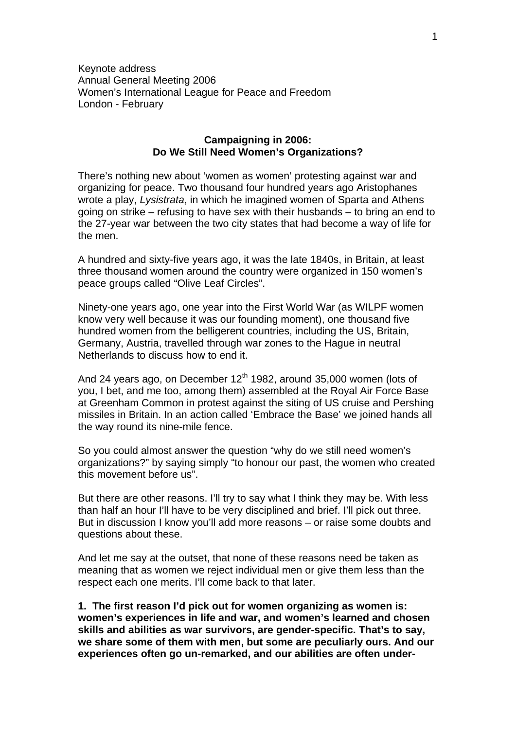Keynote address Annual General Meeting 2006 Women's International League for Peace and Freedom London - February

# **Campaigning in 2006: Do We Still Need Women's Organizations?**

There's nothing new about 'women as women' protesting against war and organizing for peace. Two thousand four hundred years ago Aristophanes wrote a play, *Lysistrata*, in which he imagined women of Sparta and Athens going on strike – refusing to have sex with their husbands – to bring an end to the 27-year war between the two city states that had become a way of life for the men.

A hundred and sixty-five years ago, it was the late 1840s, in Britain, at least three thousand women around the country were organized in 150 women's peace groups called "Olive Leaf Circles".

Ninety-one years ago, one year into the First World War (as WILPF women know very well because it was our founding moment), one thousand five hundred women from the belligerent countries, including the US, Britain, Germany, Austria, travelled through war zones to the Hague in neutral Netherlands to discuss how to end it.

And 24 years ago, on December  $12<sup>th</sup>$  1982, around 35,000 women (lots of you, I bet, and me too, among them) assembled at the Royal Air Force Base at Greenham Common in protest against the siting of US cruise and Pershing missiles in Britain. In an action called 'Embrace the Base' we joined hands all the way round its nine-mile fence.

So you could almost answer the question "why do we still need women's organizations?" by saying simply "to honour our past, the women who created this movement before us".

But there are other reasons. I'll try to say what I think they may be. With less than half an hour I'll have to be very disciplined and brief. I'll pick out three. But in discussion I know you'll add more reasons – or raise some doubts and questions about these.

And let me say at the outset, that none of these reasons need be taken as meaning that as women we reject individual men or give them less than the respect each one merits. I'll come back to that later.

**1. The first reason I'd pick out for women organizing as women is: women's experiences in life and war, and women's learned and chosen skills and abilities as war survivors, are gender-specific. That's to say, we share some of them with men, but some are peculiarly ours. And our experiences often go un-remarked, and our abilities are often under-**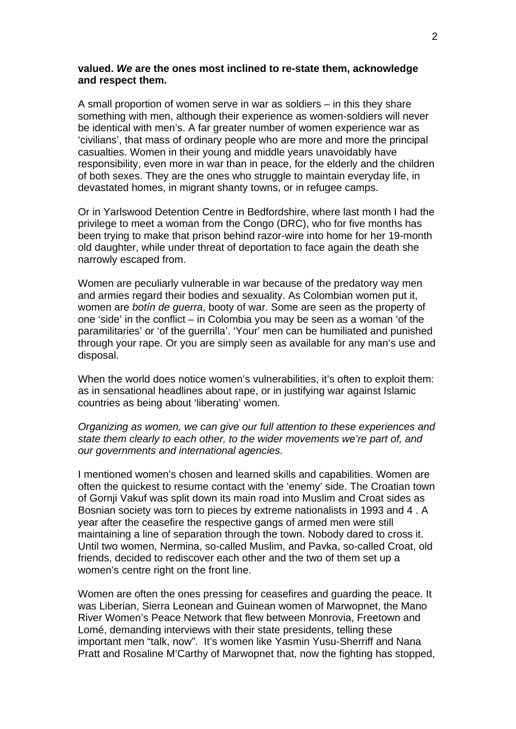#### **valued.** *We* **are the ones most inclined to re-state them, acknowledge and respect them.**

A small proportion of women serve in war as soldiers – in this they share something with men, although their experience as women-soldiers will never be identical with men's. A far greater number of women experience war as 'civilians', that mass of ordinary people who are more and more the principal casualties. Women in their young and middle years unavoidably have responsibility, even more in war than in peace, for the elderly and the children of both sexes. They are the ones who struggle to maintain everyday life, in devastated homes, in migrant shanty towns, or in refugee camps.

Or in Yarlswood Detention Centre in Bedfordshire, where last month I had the privilege to meet a woman from the Congo (DRC), who for five months has been trying to make that prison behind razor-wire into home for her 19-month old daughter, while under threat of deportation to face again the death she narrowly escaped from.

Women are peculiarly vulnerable in war because of the predatory way men and armies regard their bodies and sexuality. As Colombian women put it, women are *botín de guerra*, booty of war. Some are seen as the property of one 'side' in the conflict – in Colombia you may be seen as a woman 'of the paramilitaries' or 'of the guerrilla'. 'Your' men can be humiliated and punished through your rape. Or you are simply seen as available for any man's use and disposal.

When the world does notice women's vulnerabilities, it's often to exploit them: as in sensational headlines about rape, or in justifying war against Islamic countries as being about 'liberating' women.

*Organizing as women, we can give our full attention to these experiences and state them clearly to each other, to the wider movements we're part of, and our governments and international agencies.* 

I mentioned women's chosen and learned skills and capabilities. Women are often the quickest to resume contact with the 'enemy' side. The Croatian town of Gornji Vakuf was split down its main road into Muslim and Croat sides as Bosnian society was torn to pieces by extreme nationalists in 1993 and 4 . A year after the ceasefire the respective gangs of armed men were still maintaining a line of separation through the town. Nobody dared to cross it. Until two women, Nermina, so-called Muslim, and Pavka, so-called Croat, old friends, decided to rediscover each other and the two of them set up a women's centre right on the front line.

Women are often the ones pressing for ceasefires and guarding the peace. It was Liberian, Sierra Leonean and Guinean women of Marwopnet, the Mano River Women's Peace Network that flew between Monrovia, Freetown and Lomé, demanding interviews with their state presidents, telling these important men "talk, now". It's women like Yasmin Yusu-Sherriff and Nana Pratt and Rosaline M'Carthy of Marwopnet that, now the fighting has stopped,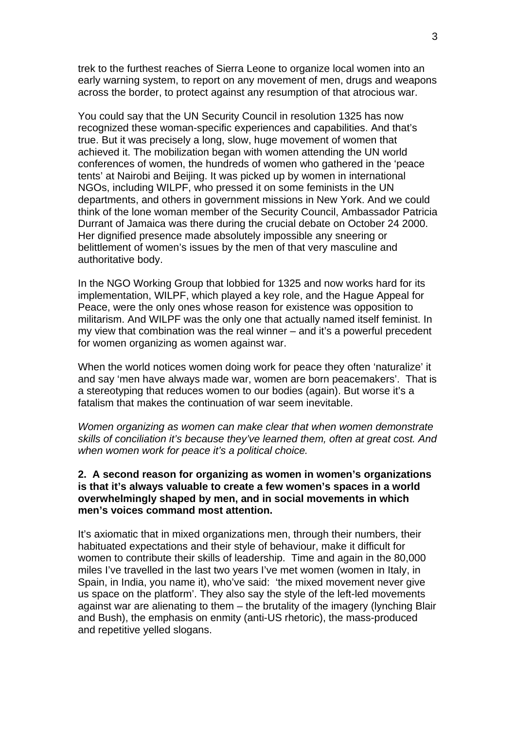trek to the furthest reaches of Sierra Leone to organize local women into an early warning system, to report on any movement of men, drugs and weapons across the border, to protect against any resumption of that atrocious war.

You could say that the UN Security Council in resolution 1325 has now recognized these woman-specific experiences and capabilities. And that's true. But it was precisely a long, slow, huge movement of women that achieved it. The mobilization began with women attending the UN world conferences of women, the hundreds of women who gathered in the 'peace tents' at Nairobi and Beijing. It was picked up by women in international NGOs, including WILPF, who pressed it on some feminists in the UN departments, and others in government missions in New York. And we could think of the lone woman member of the Security Council, Ambassador Patricia Durrant of Jamaica was there during the crucial debate on October 24 2000. Her dignified presence made absolutely impossible any sneering or belittlement of women's issues by the men of that very masculine and authoritative body.

In the NGO Working Group that lobbied for 1325 and now works hard for its implementation, WILPF, which played a key role, and the Hague Appeal for Peace, were the only ones whose reason for existence was opposition to militarism. And WILPF was the only one that actually named itself feminist. In my view that combination was the real winner – and it's a powerful precedent for women organizing as women against war.

When the world notices women doing work for peace they often 'naturalize' it and say 'men have always made war, women are born peacemakers'. That is a stereotyping that reduces women to our bodies (again). But worse it's a fatalism that makes the continuation of war seem inevitable.

*Women organizing as women can make clear that when women demonstrate skills of conciliation it's because they've learned them, often at great cost. And when women work for peace it's a political choice.* 

# **2. A second reason for organizing as women in women's organizations is that it's always valuable to create a few women's spaces in a world overwhelmingly shaped by men, and in social movements in which men's voices command most attention.**

It's axiomatic that in mixed organizations men, through their numbers, their habituated expectations and their style of behaviour, make it difficult for women to contribute their skills of leadership. Time and again in the 80,000 miles I've travelled in the last two years I've met women (women in Italy, in Spain, in India, you name it), who've said: 'the mixed movement never give us space on the platform'. They also say the style of the left-led movements against war are alienating to them – the brutality of the imagery (lynching Blair and Bush), the emphasis on enmity (anti-US rhetoric), the mass-produced and repetitive yelled slogans.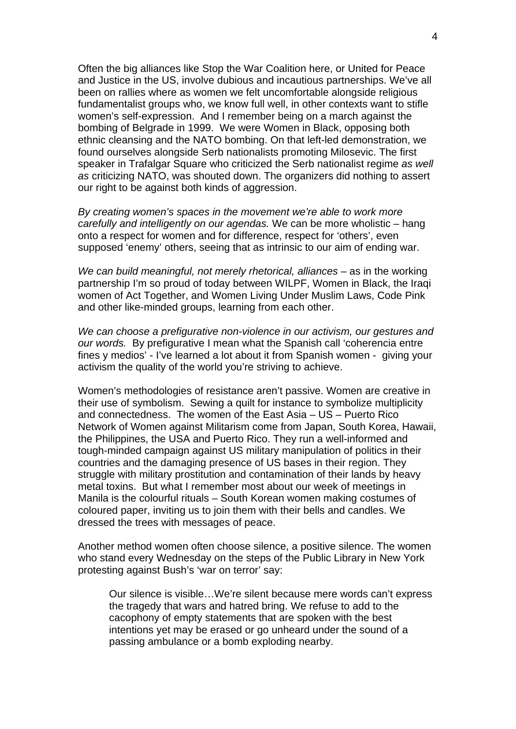Often the big alliances like Stop the War Coalition here, or United for Peace and Justice in the US, involve dubious and incautious partnerships. We've all been on rallies where as women we felt uncomfortable alongside religious fundamentalist groups who, we know full well, in other contexts want to stifle women's self-expression. And I remember being on a march against the bombing of Belgrade in 1999. We were Women in Black, opposing both ethnic cleansing and the NATO bombing. On that left-led demonstration, we found ourselves alongside Serb nationalists promoting Milosevic. The first speaker in Trafalgar Square who criticized the Serb nationalist regime *as well as* criticizing NATO, was shouted down. The organizers did nothing to assert our right to be against both kinds of aggression.

*By creating women's spaces in the movement we're able to work more carefully and intelligently on our agendas.* We can be more wholistic – hang onto a respect for women and for difference, respect for 'others', even supposed 'enemy' others, seeing that as intrinsic to our aim of ending war.

*We can build meaningful, not merely rhetorical, alliances* – as in the working partnership I'm so proud of today between WILPF, Women in Black, the Iraqi women of Act Together, and Women Living Under Muslim Laws, Code Pink and other like-minded groups, learning from each other.

*We can choose a prefigurative non-violence in our activism, our gestures and our words.* By prefigurative I mean what the Spanish call 'coherencia entre fines y medios' - I've learned a lot about it from Spanish women - giving your activism the quality of the world you're striving to achieve.

Women's methodologies of resistance aren't passive. Women are creative in their use of symbolism. Sewing a quilt for instance to symbolize multiplicity and connectedness. The women of the East Asia – US – Puerto Rico Network of Women against Militarism come from Japan, South Korea, Hawaii, the Philippines, the USA and Puerto Rico. They run a well-informed and tough-minded campaign against US military manipulation of politics in their countries and the damaging presence of US bases in their region. They struggle with military prostitution and contamination of their lands by heavy metal toxins. But what I remember most about our week of meetings in Manila is the colourful rituals – South Korean women making costumes of coloured paper, inviting us to join them with their bells and candles. We dressed the trees with messages of peace.

Another method women often choose silence, a positive silence. The women who stand every Wednesday on the steps of the Public Library in New York protesting against Bush's 'war on terror' say:

Our silence is visible…We're silent because mere words can't express the tragedy that wars and hatred bring. We refuse to add to the cacophony of empty statements that are spoken with the best intentions yet may be erased or go unheard under the sound of a passing ambulance or a bomb exploding nearby.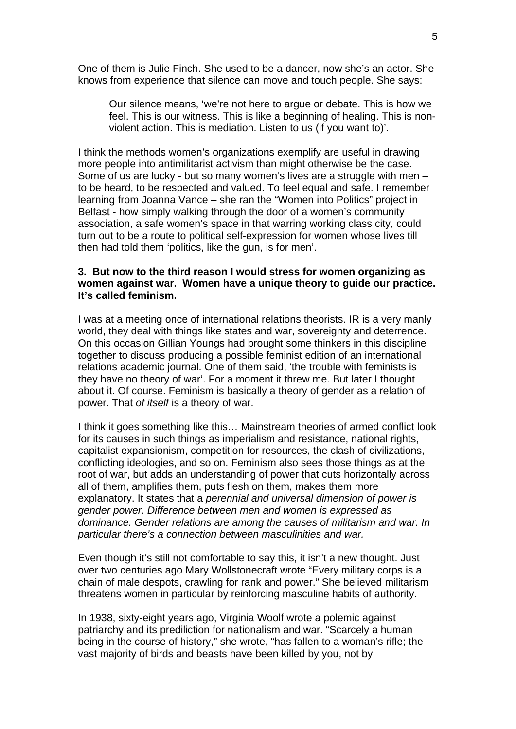One of them is Julie Finch. She used to be a dancer, now she's an actor. She knows from experience that silence can move and touch people. She says:

Our silence means, 'we're not here to argue or debate. This is how we feel. This is our witness. This is like a beginning of healing. This is nonviolent action. This is mediation. Listen to us (if you want to)'.

I think the methods women's organizations exemplify are useful in drawing more people into antimilitarist activism than might otherwise be the case. Some of us are lucky - but so many women's lives are a struggle with men to be heard, to be respected and valued. To feel equal and safe. I remember learning from Joanna Vance – she ran the "Women into Politics" project in Belfast - how simply walking through the door of a women's community association, a safe women's space in that warring working class city, could turn out to be a route to political self-expression for women whose lives till then had told them 'politics, like the gun, is for men'.

# **3. But now to the third reason I would stress for women organizing as women against war. Women have a unique theory to guide our practice. It's called feminism.**

I was at a meeting once of international relations theorists. IR is a very manly world, they deal with things like states and war, sovereignty and deterrence. On this occasion Gillian Youngs had brought some thinkers in this discipline together to discuss producing a possible feminist edition of an international relations academic journal. One of them said, 'the trouble with feminists is they have no theory of war'. For a moment it threw me. But later I thought about it. Of course. Feminism is basically a theory of gender as a relation of power. That *of itself* is a theory of war.

I think it goes something like this… Mainstream theories of armed conflict look for its causes in such things as imperialism and resistance, national rights, capitalist expansionism, competition for resources, the clash of civilizations, conflicting ideologies, and so on. Feminism also sees those things as at the root of war, but adds an understanding of power that cuts horizontally across all of them, amplifies them, puts flesh on them, makes them more explanatory. It states that a *perennial and universal dimension of power is gender power. Difference between men and women is expressed as dominance. Gender relations are among the causes of militarism and war. In particular there's a connection between masculinities and war.* 

Even though it's still not comfortable to say this, it isn't a new thought. Just over two centuries ago Mary Wollstonecraft wrote "Every military corps is a chain of male despots, crawling for rank and power." She believed militarism threatens women in particular by reinforcing masculine habits of authority.

In 1938, sixty-eight years ago, Virginia Woolf wrote a polemic against patriarchy and its prediliction for nationalism and war. "Scarcely a human being in the course of history," she wrote, "has fallen to a woman's rifle; the vast majority of birds and beasts have been killed by you, not by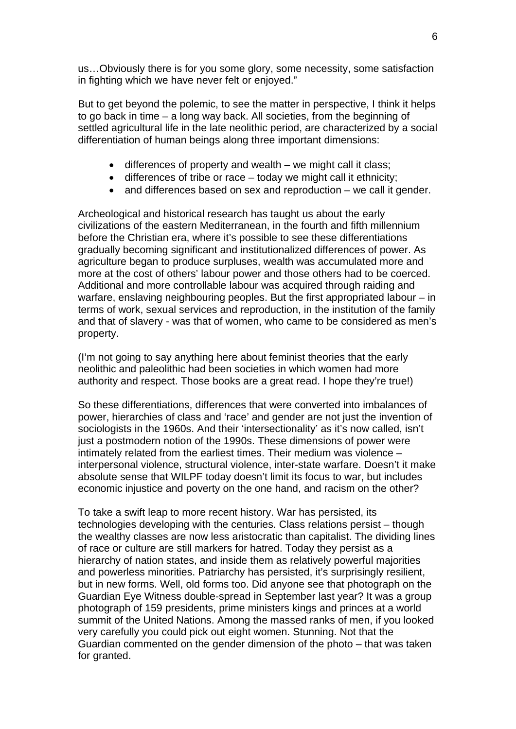us…Obviously there is for you some glory, some necessity, some satisfaction in fighting which we have never felt or enjoyed."

But to get beyond the polemic, to see the matter in perspective, I think it helps to go back in time – a long way back. All societies, from the beginning of settled agricultural life in the late neolithic period, are characterized by a social differentiation of human beings along three important dimensions:

- differences of property and wealth we might call it class;
- differences of tribe or race today we might call it ethnicity;
- and differences based on sex and reproduction we call it gender.

Archeological and historical research has taught us about the early civilizations of the eastern Mediterranean, in the fourth and fifth millennium before the Christian era, where it's possible to see these differentiations gradually becoming significant and institutionalized differences of power. As agriculture began to produce surpluses, wealth was accumulated more and more at the cost of others' labour power and those others had to be coerced. Additional and more controllable labour was acquired through raiding and warfare, enslaving neighbouring peoples. But the first appropriated labour – in terms of work, sexual services and reproduction, in the institution of the family and that of slavery - was that of women, who came to be considered as men's property.

(I'm not going to say anything here about feminist theories that the early neolithic and paleolithic had been societies in which women had more authority and respect. Those books are a great read. I hope they're true!)

So these differentiations, differences that were converted into imbalances of power, hierarchies of class and 'race' and gender are not just the invention of sociologists in the 1960s. And their 'intersectionality' as it's now called, isn't just a postmodern notion of the 1990s. These dimensions of power were intimately related from the earliest times. Their medium was violence – interpersonal violence, structural violence, inter-state warfare. Doesn't it make absolute sense that WILPF today doesn't limit its focus to war, but includes economic injustice and poverty on the one hand, and racism on the other?

To take a swift leap to more recent history. War has persisted, its technologies developing with the centuries. Class relations persist – though the wealthy classes are now less aristocratic than capitalist. The dividing lines of race or culture are still markers for hatred. Today they persist as a hierarchy of nation states, and inside them as relatively powerful majorities and powerless minorities. Patriarchy has persisted, it's surprisingly resilient, but in new forms. Well, old forms too. Did anyone see that photograph on the Guardian Eye Witness double-spread in September last year? It was a group photograph of 159 presidents, prime ministers kings and princes at a world summit of the United Nations. Among the massed ranks of men, if you looked very carefully you could pick out eight women. Stunning. Not that the Guardian commented on the gender dimension of the photo – that was taken for granted.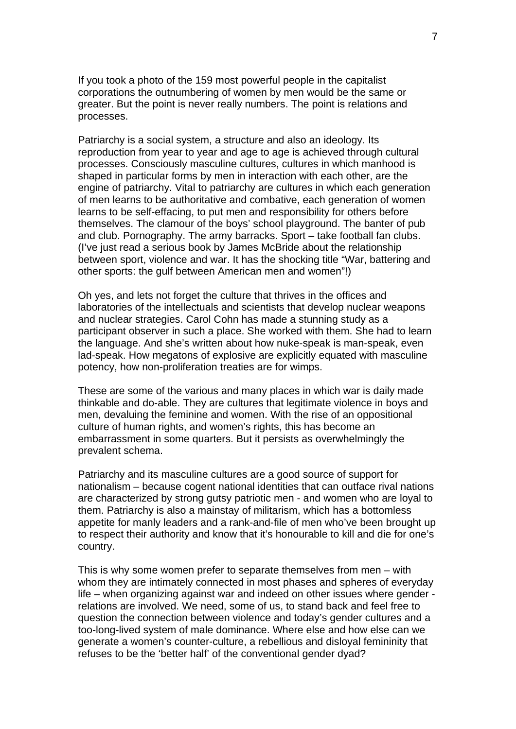If you took a photo of the 159 most powerful people in the capitalist corporations the outnumbering of women by men would be the same or greater. But the point is never really numbers. The point is relations and processes.

Patriarchy is a social system, a structure and also an ideology. Its reproduction from year to year and age to age is achieved through cultural processes. Consciously masculine cultures, cultures in which manhood is shaped in particular forms by men in interaction with each other, are the engine of patriarchy. Vital to patriarchy are cultures in which each generation of men learns to be authoritative and combative, each generation of women learns to be self-effacing, to put men and responsibility for others before themselves. The clamour of the boys' school playground. The banter of pub and club. Pornography. The army barracks. Sport – take football fan clubs. (I've just read a serious book by James McBride about the relationship between sport, violence and war. It has the shocking title "War, battering and other sports: the gulf between American men and women"!)

Oh yes, and lets not forget the culture that thrives in the offices and laboratories of the intellectuals and scientists that develop nuclear weapons and nuclear strategies. Carol Cohn has made a stunning study as a participant observer in such a place. She worked with them. She had to learn the language. And she's written about how nuke-speak is man-speak, even lad-speak. How megatons of explosive are explicitly equated with masculine potency, how non-proliferation treaties are for wimps.

These are some of the various and many places in which war is daily made thinkable and do-able. They are cultures that legitimate violence in boys and men, devaluing the feminine and women. With the rise of an oppositional culture of human rights, and women's rights, this has become an embarrassment in some quarters. But it persists as overwhelmingly the prevalent schema.

Patriarchy and its masculine cultures are a good source of support for nationalism – because cogent national identities that can outface rival nations are characterized by strong gutsy patriotic men - and women who are loyal to them. Patriarchy is also a mainstay of militarism, which has a bottomless appetite for manly leaders and a rank-and-file of men who've been brought up to respect their authority and know that it's honourable to kill and die for one's country.

This is why some women prefer to separate themselves from men – with whom they are intimately connected in most phases and spheres of everyday life – when organizing against war and indeed on other issues where gender relations are involved. We need, some of us, to stand back and feel free to question the connection between violence and today's gender cultures and a too-long-lived system of male dominance. Where else and how else can we generate a women's counter-culture, a rebellious and disloyal femininity that refuses to be the 'better half' of the conventional gender dyad?